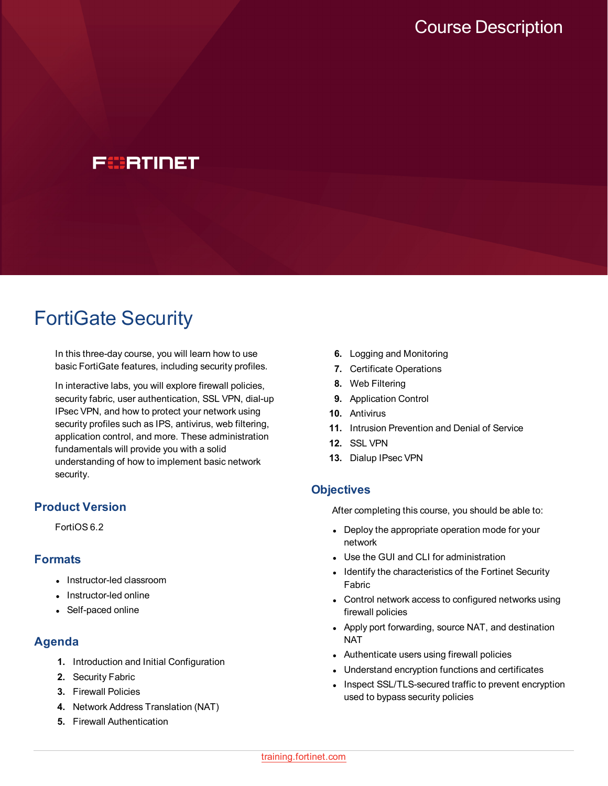# FCBRTINET

# FortiGate Security

In this three-day course, you will learn how to use basic FortiGate features, including security profiles.

In interactive labs, you will explore firewall policies, security fabric, user authentication, SSL VPN, dial-up IPsec VPN, and how to protect your network using security profiles such as IPS, antivirus, web filtering, application control, and more. These administration fundamentals will provide you with a solid understanding of how to implement basic network security.

# **Product Version**

FortiOS 6.2

# **Formats**

- Instructor-led classroom
- Instructor-led online
- Self-paced online

# **Agenda**

- **1.** Introduction and Initial Configuration
- **2.** Security Fabric
- **3.** Firewall Policies
- **4.** Network Address Translation (NAT)
- **5.** Firewall Authentication
- **6.** Logging and Monitoring
- **7.** Certificate Operations
- **8.** Web Filtering
- **9.** Application Control
- **10.** Antivirus
- **11.** Intrusion Prevention and Denial of Service
- **12.** SSL VPN
- **13.** Dialup IPsec VPN

#### **Objectives**

After completing this course, you should be able to:

- Deploy the appropriate operation mode for your network
- Use the GUI and CLI for administration
- Identify the characteristics of the Fortinet Security Fabric
- Control network access to configured networks using firewall policies
- Apply port forwarding, source NAT, and destination **NAT**
- Authenticate users using firewall policies
- Understand encryption functions and certificates
- Inspect SSL/TLS-secured traffic to prevent encryption used to bypass security policies